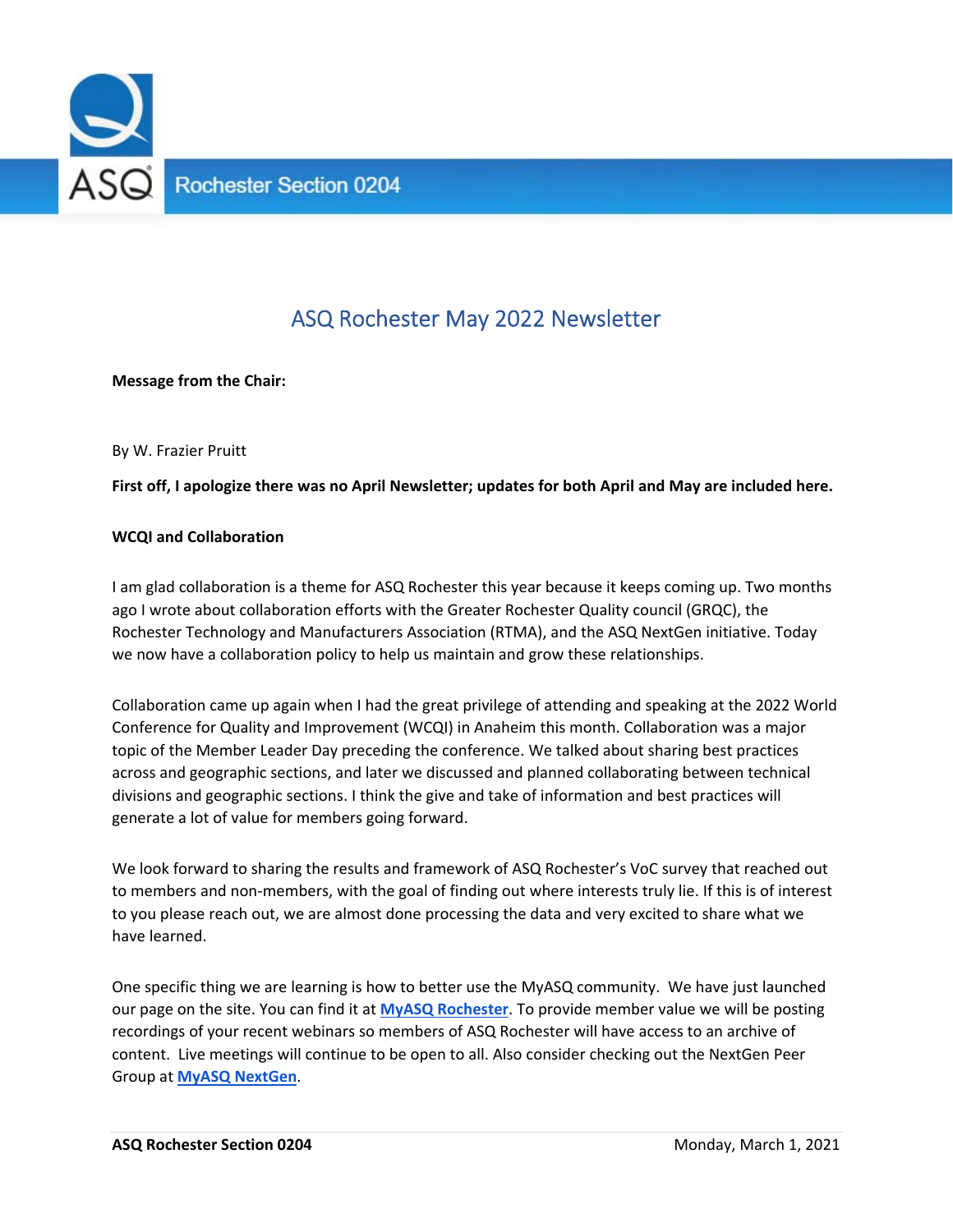

# ASQ Rochester May 2022 Newsletter

**Message from the Chair:** 

By W. Frazier Pruitt

**First off, I apologize there was no April Newsletter; updates for both April and May are included here.**

#### **WCQI and Collaboration**

I am glad collaboration is a theme for ASQ Rochester this year because it keeps coming up. Two months ago I wrote about collaboration efforts with the Greater Rochester Quality council (GRQC), the Rochester Technology and Manufacturers Association (RTMA), and the ASQ NextGen initiative. Today we now have a collaboration policy to help us maintain and grow these relationships.

Collaboration came up again when I had the great privilege of attending and speaking at the 2022 World Conference for Quality and Improvement (WCQI) in Anaheim this month. Collaboration was a major topic of the Member Leader Day preceding the conference. We talked about sharing best practices across and geographic sections, and later we discussed and planned collaborating between technical divisions and geographic sections. I think the give and take of information and best practices will generate a lot of value for members going forward.

We look forward to sharing the results and framework of ASQ Rochester's VoC survey that reached out to members and non‐members, with the goal of finding out where interests truly lie. If this is of interest to you please reach out, we are almost done processing the data and very excited to share what we have learned.

One specific thing we are learning is how to better use the MyASQ community. We have just launched our page on the site. You can find it at **MyASQ Rochester**. To provide member value we will be posting recordings of your recent webinars so members of ASQ Rochester will have access to an archive of content. Live meetings will continue to be open to all. Also consider checking out the NextGen Peer Group at **MyASQ NextGen**.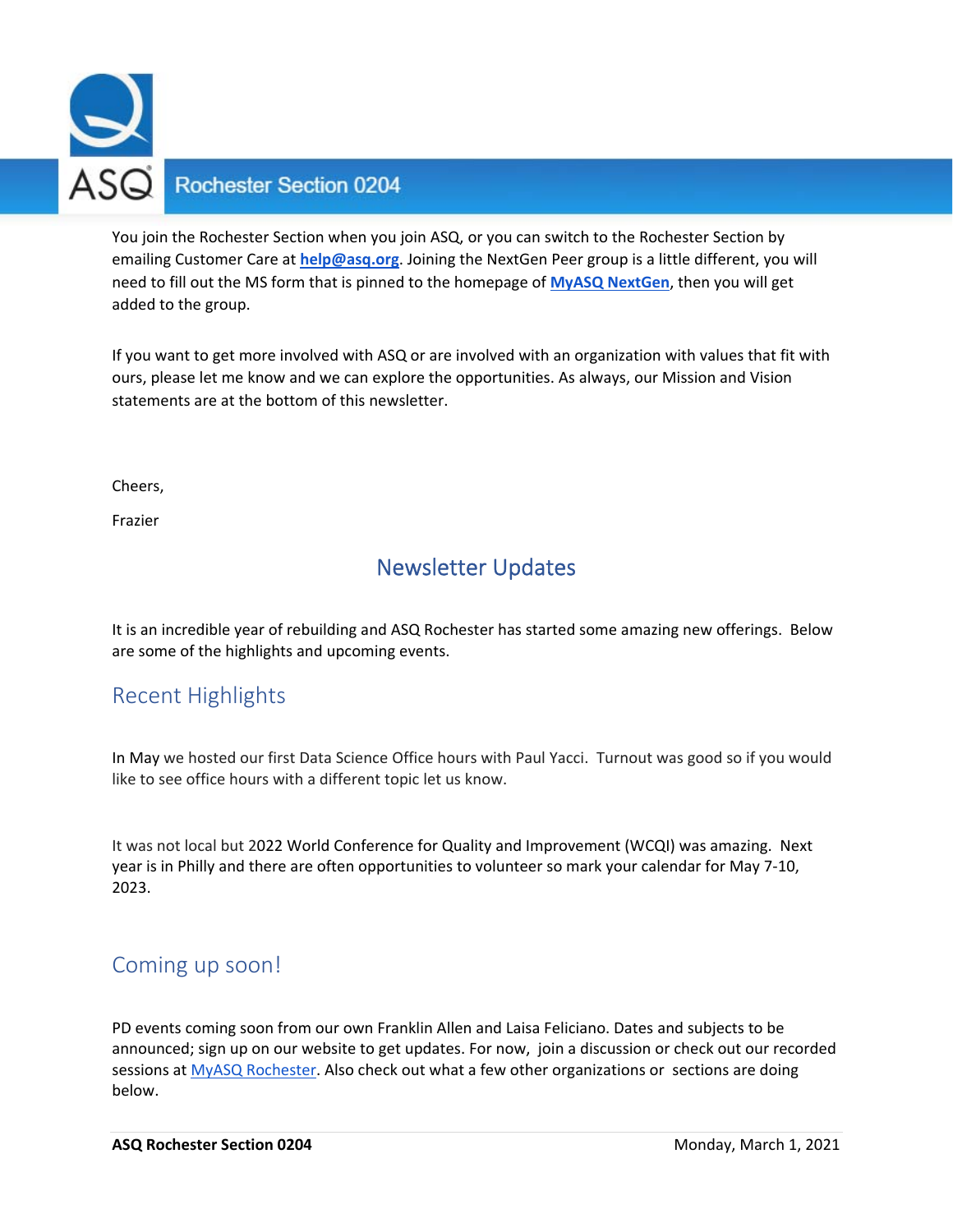

You join the Rochester Section when you join ASQ, or you can switch to the Rochester Section by emailing Customer Care at **help@asq.org**. Joining the NextGen Peer group is a little different, you will need to fill out the MS form that is pinned to the homepage of **MyASQ NextGen**, then you will get added to the group.

If you want to get more involved with ASQ or are involved with an organization with values that fit with ours, please let me know and we can explore the opportunities. As always, our Mission and Vision statements are at the bottom of this newsletter.

Cheers,

Frazier

## Newsletter Updates

It is an incredible year of rebuilding and ASQ Rochester has started some amazing new offerings. Below are some of the highlights and upcoming events.

## Recent Highlights

In May we hosted our first Data Science Office hours with Paul Yacci. Turnout was good so if you would like to see office hours with a different topic let us know.

It was not local but 2022 World Conference for Quality and Improvement (WCQI) was amazing. Next year is in Philly and there are often opportunities to volunteer so mark your calendar for May 7‐10, 2023.

## Coming up soon!

PD events coming soon from our own Franklin Allen and Laisa Feliciano. Dates and subjects to be announced; sign up on our website to get updates. For now, join a discussion or check out our recorded sessions at MyASQ Rochester. Also check out what a few other organizations or sections are doing below.